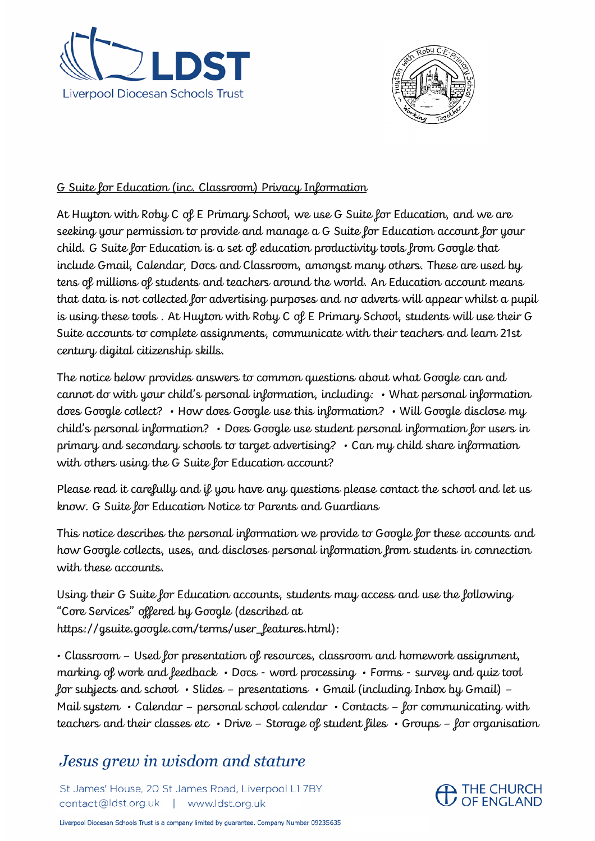



## G Suite for Education (inc. Classroom) Privacy Information

At Huyton with Roby C of E Primary School, we use G Suite for Education, and we are seeking your permission to provide and manage a G Suite for Education account for your child. G Suite for Education is a set of education productivity tools from Google that include Gmail, Calendar, Docs and Classroom, amongst many others. These are used by tens of millions of students and teachers around the world. An Education account means that data is not collected for advertising purposes and no adverts will appear whilst a pupil is using these tools . At Huyton with Roby C of E Primary School, students will use their G Suite accounts to complete assignments, communicate with their teachers and learn 21st century digital citizenship skills.

The notice below provides answers to common questions about what Google can and cannot do with your child's personal information, including:  $\cdot$  What personal information does Google collect? • How does Google use this information? • Will Google disclose my child's personal information? • Does Google use student personal information for users in primary and secondary schools to target advertising? • Can my child share information with others using the G Suite for Education account?

Please read it carefully and if you have any questions please contact the school and let us know. G Suite for Education Notice to Parents and Guardians

This notice describes the personal information we provide to Google for these accounts and how Google collects, uses, and discloses personal information from students in connection with these accounts.

Using their G Suite for Education accounts, students may access and use the following "Core Services" offered by Google (described at https://gsuite.google.com/terms/user\_features.html):

• Classroom – Used for presentation of resources, classroom and homework assignment, marking of work and feedback • Docs - word processing • Forms - survey and quiz tool for subjects and school • Slides – presentations • Gmail (including Inbox by Gmail) – Mail system  $\cdot$  Calendar – personal school calendar  $\cdot$  Contacts – for communicating with teachers and their classes etc  $\cdot$  Drive – Storage of student files  $\cdot$  Groups – for organisation

## Jesus grew in wisdom and stature

St James' House, 20 St James Road, Liverpool L17BY contact@ldst.org.uk | www.ldst.org.uk



Liverpool Diocesan Schools Trust is a company limited by guarantee. Company Number 09235635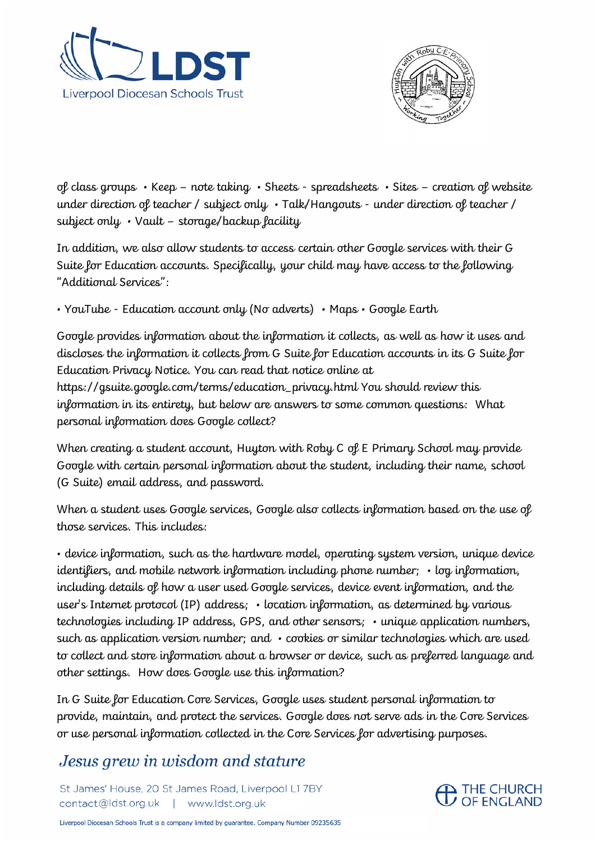



of class groups • Keep – note taking • Sheets - spreadsheets • Sites – creation of website under direction of teacher / subject only • Talk/Hangouts - under direction of teacher / subject only  $\cdot$  Vault – storage/backup facility

In addition, we also allow students to access certain other Google services with their G Suite for Education accounts. Specifically, your child may have access to the following "Additional Services":

• YouTube - Education account only (No adverts) • Maps • Google Earth

Google provides information about the information it collects, as well as how it uses and discloses the information it collects from G Suite for Education accounts in its G Suite for Education Privacy Notice. You can read that notice online at https://gsuite.google.com/terms/education\_privacy.html You should review this information in its entirety, but below are answers to some common questions: What personal information does Google collect?

When creating a student account, Huyton with Roby C of E Primary School may provide Google with certain personal information about the student, including their name, school (G Suite) email address, and password.

When a student uses Google services, Google also collects information based on the use of those services. This includes:

• device information, such as the hardware model, operating system version, unique device identifiers, and mobile network information including phone number; • log information, including details of how a user used Google services, device event information, and the user's Internet protocol (IP) address; · location information, as determined by various technologies including IP address, GPS, and other sensors; • unique application numbers, such as application version number; and  $\cdot$  cookies or similar technologies which are used to collect and store information about a browser or device, such as preferred language and other settings. How does Google use this information?

In G Suite for Education Core Services, Google uses student personal information to provide, maintain, and protect the services. Google does not serve ads in the Core Services or use personal information collected in the Core Services for advertising purposes.

## Jesus grew in wisdom and stature

St James' House, 20 St James Road, Liverpool L17BY contact@ldst.org.uk | www.ldst.org.uk



Liverpool Diocesan Schools Trust is a company limited by guarantee. Company Number 09235635